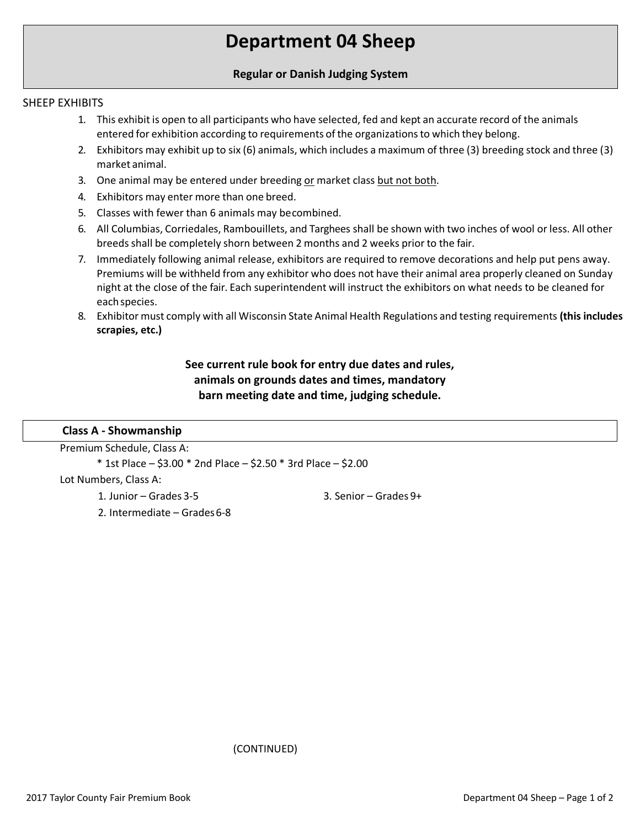# **Department 04 Sheep**

## **Regular or Danish Judging System**

## SHEEP EXHIBITS

- 1. This exhibit is open to all participants who have selected, fed and kept an accurate record of the animals entered for exhibition according to requirements of the organizationsto which they belong.
- 2. Exhibitors may exhibit up to six (6) animals, which includes a maximum of three (3) breeding stock and three (3) market animal.
- 3. One animal may be entered under breeding or market class but not both.
- 4. Exhibitors may enter more than one breed.
- 5. Classes with fewer than 6 animals may becombined.
- 6. All Columbias, Corriedales, Rambouillets, and Targhees shall be shown with two inches of wool or less. All other breeds shall be completely shorn between 2 months and 2 weeks prior to the fair.
- 7. Immediately following animal release, exhibitors are required to remove decorations and help put pens away. Premiums will be withheld from any exhibitor who does not have their animal area properly cleaned on Sunday night at the close of the fair. Each superintendent will instruct the exhibitors on what needs to be cleaned for eachspecies.
- 8. Exhibitor must comply with all Wisconsin State Animal Health Regulations and testing requirements **(this includes scrapies, etc.)**

# **See current rule book for entry due dates and rules, animals on grounds dates and times, mandatory barn meeting date and time, judging schedule.**

#### **Class A - Showmanship**

Premium Schedule, Class A: \* 1st Place – \$3.00 \* 2nd Place – \$2.50 \* 3rd Place – \$2.00 Lot Numbers, Class A: 1. Junior – Grades 3-5 2. Intermediate – Grades 6-8 3. Senior – Grades 9+

(CONTINUED)